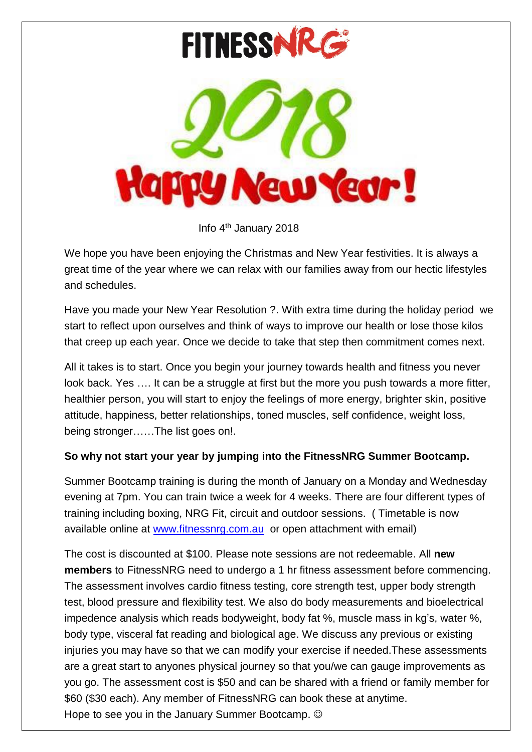

Info 4 th January 2018

We hope you have been enjoying the Christmas and New Year festivities. It is always a great time of the year where we can relax with our families away from our hectic lifestyles and schedules.

Have you made your New Year Resolution ?. With extra time during the holiday period we start to reflect upon ourselves and think of ways to improve our health or lose those kilos that creep up each year. Once we decide to take that step then commitment comes next.

All it takes is to start. Once you begin your journey towards health and fitness you never look back. Yes .... It can be a struggle at first but the more you push towards a more fitter, healthier person, you will start to enjoy the feelings of more energy, brighter skin, positive attitude, happiness, better relationships, toned muscles, self confidence, weight loss, being stronger……The list goes on!.

### **So why not start your year by jumping into the FitnessNRG Summer Bootcamp.**

Summer Bootcamp training is during the month of January on a Monday and Wednesday evening at 7pm. You can train twice a week for 4 weeks. There are four different types of training including boxing, NRG Fit, circuit and outdoor sessions. ( Timetable is now available online at [www.fitnessnrg.com.au](http://www.fitnessnrg.com.au/) or open attachment with email)

The cost is discounted at \$100. Please note sessions are not redeemable. All **new members** to FitnessNRG need to undergo a 1 hr fitness assessment before commencing. The assessment involves cardio fitness testing, core strength test, upper body strength test, blood pressure and flexibility test. We also do body measurements and bioelectrical impedence analysis which reads bodyweight, body fat %, muscle mass in kg's, water %, body type, visceral fat reading and biological age. We discuss any previous or existing injuries you may have so that we can modify your exercise if needed.These assessments are a great start to anyones physical journey so that you/we can gauge improvements as you go. The assessment cost is \$50 and can be shared with a friend or family member for \$60 (\$30 each). Any member of FitnessNRG can book these at anytime. Hope to see you in the January Summer Bootcamp.  $\odot$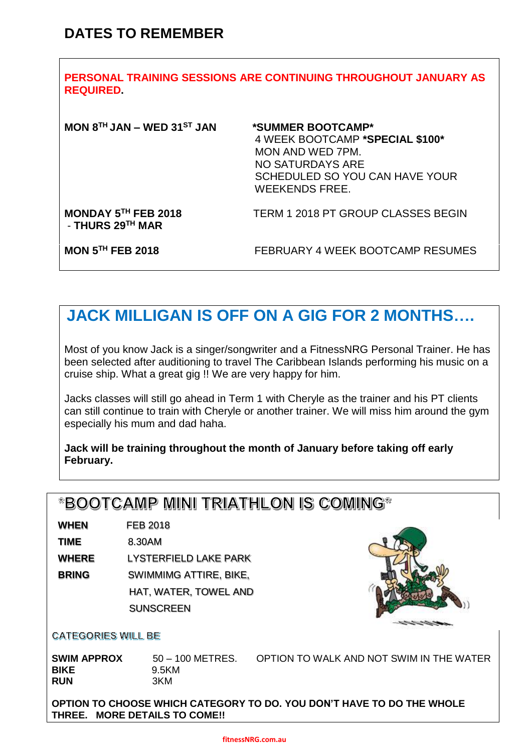| PERSONAL TRAINING SESSIONS ARE CONTINUING THROUGHOUT JANUARY AS<br><b>REQUIRED</b> |                                                                                                                                                         |  |  |  |  |
|------------------------------------------------------------------------------------|---------------------------------------------------------------------------------------------------------------------------------------------------------|--|--|--|--|
| MON $8TH$ JAN – WED 31 <sup>ST</sup> JAN                                           | *SUMMER BOOTCAMP*<br>4 WEEK BOOTCAMP *SPECIAL \$100*<br>MON AND WED 7PM.<br>NO SATURDAYS ARE<br>SCHEDULED SO YOU CAN HAVE YOUR<br><b>WEEKENDS FREE.</b> |  |  |  |  |
| MONDAY 5TH FEB 2018<br>- THURS 29TH MAR                                            | <b>TERM 1 2018 PT GROUP CLASSES BEGIN</b>                                                                                                               |  |  |  |  |
| <b>MON 5TH FEB 2018</b>                                                            | FEBRUARY 4 WEEK BOOTCAMP RESUMES                                                                                                                        |  |  |  |  |

# **JACK MILLIGAN IS OFF ON A GIG FOR 2 MONTHS….**

Most of you know Jack is a singer/songwriter and a FitnessNRG Personal Trainer. He has been selected after auditioning to travel The Caribbean Islands performing his music on a cruise ship. What a great gig !! We are very happy for him.

Jacks classes will still go ahead in Term 1 with Cheryle as the trainer and his PT clients can still continue to train with Cheryle or another trainer. We will miss him around the gym especially his mum and dad haha.

#### **Jack will be training throughout the month of January before taking off early February.**

# \*BOOTCAMP MINI TRIATHLON IS COMING\*

**WHEN** FEB 2018

**TIME** 8.30AM

**WHERE** LYSTERFIELD LAKE PARK

**BRING** SWIMMIMG ATTIRE, BIKE,

**HAT, WATER, TOWEL AND SUNSCREEN** 



#### **CATEGORIES WILL BE**

**SWIM APPROX** 50 – 100 METRES. OPTION TO WALK AND NOT SWIM IN THE WATER **BIKE** 9.5KM **RUN** 3KM

**OPTION TO CHOOSE WHICH CATEGORY TO DO. YOU DON'T HAVE TO DO THE WHOLE THREE. MORE DETAILS TO COME!!**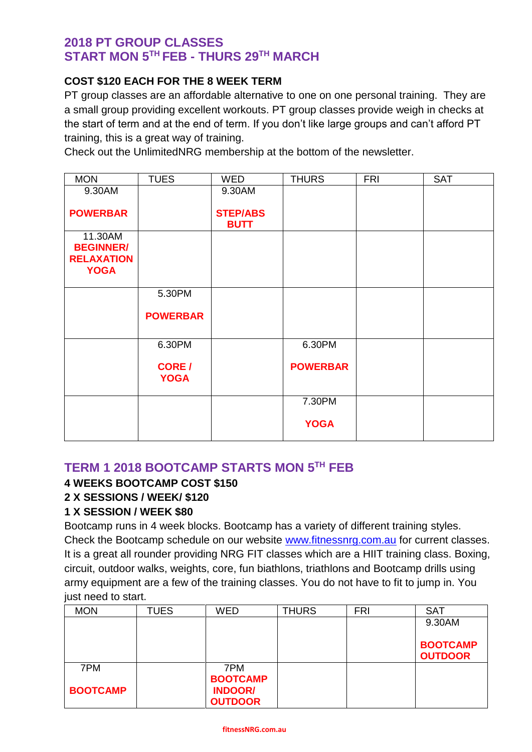## **2018 PT GROUP CLASSES START MON 5 TH FEB - THURS 29TH MARCH**

#### **COST \$120 EACH FOR THE 8 WEEK TERM**

PT group classes are an affordable alternative to one on one personal training. They are a small group providing excellent workouts. PT group classes provide weigh in checks at the start of term and at the end of term. If you don't like large groups and can't afford PT training, this is a great way of training.

Check out the UnlimitedNRG membership at the bottom of the newsletter.

| <b>MON</b>                       | <b>TUES</b>                  | <b>WED</b>                     | <b>THURS</b>    | <b>FRI</b> | <b>SAT</b> |
|----------------------------------|------------------------------|--------------------------------|-----------------|------------|------------|
| 9.30AM                           |                              | 9.30AM                         |                 |            |            |
| <b>POWERBAR</b>                  |                              | <b>STEP/ABS</b><br><b>BUTT</b> |                 |            |            |
| 11.30AM<br><b>BEGINNER/</b>      |                              |                                |                 |            |            |
| <b>RELAXATION</b><br><b>YOGA</b> |                              |                                |                 |            |            |
|                                  | 5.30PM                       |                                |                 |            |            |
|                                  | <b>POWERBAR</b>              |                                |                 |            |            |
|                                  | 6.30PM                       |                                | 6.30PM          |            |            |
|                                  | <b>CORE</b> /<br><b>YOGA</b> |                                | <b>POWERBAR</b> |            |            |
|                                  |                              |                                | 7.30PM          |            |            |
|                                  |                              |                                | <b>YOGA</b>     |            |            |
|                                  |                              |                                |                 |            |            |

### **TERM 1 2018 BOOTCAMP STARTS MON 5 TH FEB**

### **4 WEEKS BOOTCAMP COST \$150**

#### **2 X SESSIONS / WEEK/ \$120**

#### **1 X SESSION / WEEK \$80**

Bootcamp runs in 4 week blocks. Bootcamp has a variety of different training styles. Check the Bootcamp schedule on our website [www.fitnessnrg.com.au](http://www.fitnessnrg.com.au/) for current classes. It is a great all rounder providing NRG FIT classes which are a HIIT training class. Boxing, circuit, outdoor walks, weights, core, fun biathlons, triathlons and Bootcamp drills using army equipment are a few of the training classes. You do not have to fit to jump in. You just need to start.

| <b>MON</b>      | <b>TUES</b> | <b>WED</b>      | <b>THURS</b> | <b>FRI</b> | <b>SAT</b>      |
|-----------------|-------------|-----------------|--------------|------------|-----------------|
|                 |             |                 |              |            | 9.30AM          |
|                 |             |                 |              |            |                 |
|                 |             |                 |              |            | <b>BOOTCAMP</b> |
|                 |             |                 |              |            | <b>OUTDOOR</b>  |
| 7PM             |             | 7PM             |              |            |                 |
|                 |             | <b>BOOTCAMP</b> |              |            |                 |
| <b>BOOTCAMP</b> |             | <b>INDOOR/</b>  |              |            |                 |
|                 |             | <b>OUTDOOR</b>  |              |            |                 |